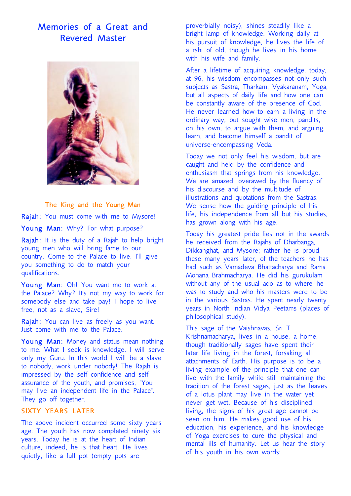# Memories of a Great and Revered Master



The King and the Young Man Rajah: You must come with me to Mysore! Young Man: Why? For what purpose?

Rajah: It is the duty of a Rajah to help bright young men who will bring fame to our country. Come to the Palace to live. I'll give you something to do to match your qualifications.

Young Man: Oh! You want me to work at the Palace? Why? It's not my way to work for somebody else and take pay! I hope to live free, not as a slave, Sire!

Rajah: You can live as freely as you want. Just come with me to the Palace.

Young Man: Money and status mean nothing to me. What I seek is knowledge. I will serve only my Guru. In this world I will be a slave to nobody, work under nobody! The Rajah is impressed by the self confidence and self assurance of the youth, and promises, "You may live an independent life in the Palace". They go off together.

# SIXTY
YEARS
LATER

The above incident occurred some sixty years age. The youth has now completed ninety six years. Today he is at the heart of Indian culture, indeed, he is that heart. He lives quietly, like a full pot (empty pots are

proverbially noisy), shines steadily like a bright lamp of knowledge. Working daily at his pursuit of knowledge, he lives the life of a rshi of old, though he lives in his home with his wife and family.

After a lifetime of acquiring knowledge, today, at 96, his wisdom encompasses not only such subjects as Sastra, Tharkam, Vyakaranam, Yoga, but all aspects of daily life and how one can be constantly aware of the presence of God. He never learned how to earn a living in the ordinary way, but sought wise men, pandits, on his own, to argue with them, and arguing, learn, and become himself a pandit of universe-encompassing Veda.

Today we not only feel his wisdom, but are caught and held by the confidence and enthusiasm that springs from his knowledge. We are amazed, overawed by the fluency of his discourse and by the multitude of illustrations and quotations from the Sastras. We sense how the guiding principle of his life, his independence from all but his studies, has grown along with his age.

Today his greatest pride lies not in the awards he received from the Rajahs of Dharbanga, Dikkanghat, and Mysore; rather he is proud, these many years later, of the teachers he has had such as Vamadeva Bhattacharya and Rama Mohana Brahmacharya. He did his gurukulam without any of the usual ado as to where
he was to study and who his masters were to be in the various Sastras. He spent nearly twenty years in North Indian Vidya Peetams (places of philosophical study).

This sage of the Vaishnavas, Sri T. Krishnamacharya, lives in a house, a home, though traditionally sages have spent their later life living in the forest, forsaking all attachments of Earth. His purpose is to be a living example of the principle that one can live with the family while still maintaining the tradition of the forest sages, just as the leaves of a lotus plant may live in the water yet never get wet. Because of his disciplined living, the signs of his great age cannot be seen on him. He makes good use of his education, his experience, and his knowledge of Yoga exercises to cure the physical and mental ills of humanity. Let us hear the story of his youth in his own words: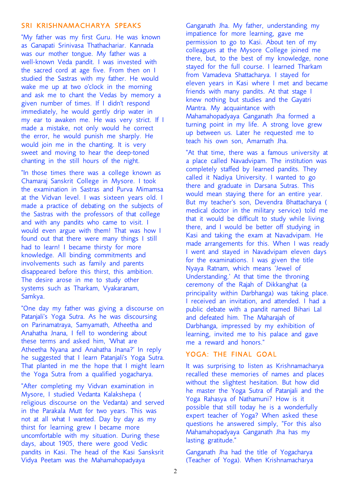### SRI
KRISHNAMACHARYA
SPEAKS

"My father was my first Guru. He was known as Ganapati Srinivasa Thathachariar. Kannada was our mother tongue. My father was a well-known Veda pandit. I was invested with the sacred cord at age five. From then on I studied the Sastras with my father. He would wake me up at two o'clock in the morning and ask me to chant the Vedas by memory a given number of times. If I didn't respond immediately, he would gently drip water in my ear to awaken me. He was very strict. If I made a mistake, not only would
he correct the error, he would punish me sharply. He would join me in the chanting. It is very sweet and moving to hear the deep-toned chanting in the still hours of the night.

"In those times there was a college known as Chamaraj Sanskrit College in Mysore. I took the examination in Sastras and Purva Mimamsa at the Vidvan level. I was sixteen years old. I made a practice of debating on the subjects of the Sastras with the professors of that college and with any pandits who came to visit. I would even argue with them! That was how I found out that there were many things I still had to learn! I became thirsty for more knowledge. All binding commitments and involvements such as family and parents disappeared before this thirst, this ambition. The desire arose in me to study other systems such as Tharkam, Vyakaranam, Samkya.

"One day my father was giving a discourse on Patanjali's Yoga Sutra. As he was discoursing on Parinamatraya, Samyamath, Atheetha and Anahatha Jnana, I fell to wondering about these terms and asked him, 'What are Atheetha Nyana and Anahatha Jnana?' In reply he suggested that I learn Patanjali's Yoga Sutra. That planted in me the hope that I might learn the Yoga Sutra from a qualified yogacharya.

"After completing my Vidvan examination in Mysore, I studied Vedanta Kalakshepa ( religious discourse on the Vedanta) and served in the Parakala Mutt for two years. This was not at all what I wanted. Day by day as my thirst for learning grew I became more uncomfortable with my situation. During these days, about 1905, there were good Vedic pandits in Kasi. The head of the Kasi Sansksrit Vidya Peetam was the Mahamahopadyaya

Ganganath Jha. My father, understanding my impatience for more learning, gave me permission to go to Kasi. About ten of my colleagues at the Mysore College joined me there, but, to the best of my knowledge, none stayed for the full course. I learned Tharkam from Vamadeva Shattacharya. I stayed for eleven years in Kasi where I met and became friends with many pandits. At that stage I knew nothing but studies and the Gayatri Mantra. My acquaintance with Mahamahopadyaya Ganganath Jha formed a turning point in my life. A strong love grew up between us. Later he requested me to teach his own son, Amarnath Jha.

"At that time, there was a famous university at a place called Navadvipam. The institution was completely staffed by learned pandits. They called it Nadiya University. I wanted to go there and graduate in Darsana Sutras. This would mean staying there for an entire year. But my teacher's son, Devendra Bhattacharya ( medical doctor in the military service) told me that it would be difficult to study while living there, and I would be better off studying in Kasi and taking the exam at Navadvipam. He made arrangements for this. When I was ready I went and stayed in Navadvipam eleven days for the examinations. I was given the title Nyaya Ratnam, which means 'Jewel of Understanding.' At that time the throning ceremony of the Rajah of Dikkanghat (a principality within Darbhanga) was taking place. I received an invitation, and attended. I had a public debate with a pandit named Bihari Lal and defeated him. The Maharajah of Darbhanga, impressed by my exhibition of learning, invited me to his palace and gave me a reward and honors."

#### YOGA: THE FINAL GOAL

It was surprising to listen as Krishnamacharya recalled these memories of names and places without the slightest hesitation. But how did he master the Yoga Sutra of Patanjali and the Yoga Rahasya of Nathamuni? How is it possible that still today he is a wonderfully expert teacher of Yoga? When asked these questions he answered simply, "For this also Mahamahopadyaya Ganganath Jha has my lasting gratitude."

Ganganath Jha had the title of Yogacharya (Teacher of Yoga). When Krishnamacharya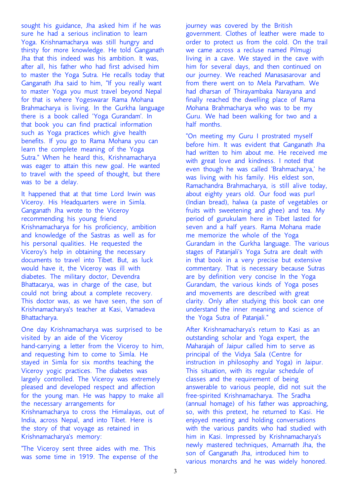sought his guidance, Jha asked him if he was sure he had a serious inclination to learn Yoga. Krishnamacharya was still hungry and thirsty for more knowledge. He told Ganganath Jha that this indeed was his ambition. It was, after all, his father who had first advised him to master the Yoga Sutra. He recalls today that Ganganath Jha said to him, "If you really want to master Yoga you must travel beyond Nepal for that is where Yogeswarar Rama Mohana Brahmacharya is living. In the Gurkha language there is a book called 'Yoga Gurandam'. In that book you can find practical information such as Yoga practices which give health benefits. If you go to Rama Mohana you can learn the complete meaning of the Yoga Sutra." When he heard this, Krishnamacharya was eager to attain this new goal. He wanted to travel with the speed of thought, but there was to be a delay.

It happened that at that time Lord Irwin was Viceroy. His Headquarters were in Simla. Ganganath Jha wrote to the Viceroy recommending his young friend Krishnamacharya for his proficiency, ambition and knowledge of the Sastras as well as for his personal qualities. He requested the Viceroy's help in obtaining the necessary documents to travel into Tibet. But, as luck would have it, the Viceroy was ill with diabetes. The military doctor, Devendra Bhattacarya, was in charge of the case, but could not bring about a complete recovery. This doctor was, as we have seen, the son of Krishnamacharya's teacher at Kasi, Vamadeva Bhattacharya.

One day Krishnamacharya was surprised to be visited by an aide of the Viceroy hand-carrying a letter from the Viceroy to him, and requesting him to come to Simla. He stayed in Simla for six months teaching the Viceroy yogic practices. The diabetes was largely controlled. The Viceroy was extremely pleased and developed respect and affection for the young man. He was happy to make all the necessary arrangements for Krishnamacharya to cross the Himalayas, out of India, across Nepal, and into Tibet. Here is the story of that voyage as retained in Krishnamacharya's memory:

"The Viceroy sent three aides with me. This was some time in 1919. The expense of the journey was covered by the British government. Clothes of leather were made to order to protect us from the cold. On the trail we came across a recluse named Pilmugi living in a cave. We stayed in the cave with him for several days, and then continued on our journey. We reached Manasasarovar and from there went on to Mela Parvatham. We had dharsan of Thirayambaka Narayana and finally reached the dwelling place of Rama Mohana Brahmacharya who was to be my Guru. We had been walking for two and a half months.

"On meeting my Guru I prostrated myself before him. It was evident that Ganganath Jha had written to him about me. He received me with great love and kindness. I noted that even though he was called 'Brahmacharya,' he was living with his family. His eldest son, Ramachandra Brahmacharya, is still alive today, about eighty years old. Our food was purl (Indian bread), halwa (a paste of vegetables or fruits with sweetening and ghee) and tea. My period of gurukulam here in Tibet lasted for seven and a half years. Rama Mohana made me memorize the whole of the Yoga Gurandam in the Gurkha language. The various stages of Patanjali's Yoga Sutra are dealt with in that book in a very precise but extensive commentary. That is necessary because Sutras are by definition very concise In the Yoga Gurandam, the various kinds of Yoga poses and movements are described with great clarity. Only after studying this book can one understand the inner meaning and science of the Yoga Sutra of Patanjali."

After Krishnamacharya's return to Kasi as an outstanding scholar and Yoga expert, the Maharajah of Jaipur called him to serve as principal of the Vidya Sala (Centre for instruction in philosophy and Yoga) in Jaipur. This situation, with its regular schedule of classes and the requirement of being answerable to various people, did not suit the free-spirited Krishnamacharya. The Sradha (annual homage) of his father was approaching, so, with this pretext, he returned to Kasi. He enjoyed meeting and holding conversations with the various pandits who had studied with him in Kasi. Impressed by Krishnamacharya's newly mastered techniques, Amarnath Jha, the son of Ganganath Jha, introduced him to various monarchs and he was widely honored.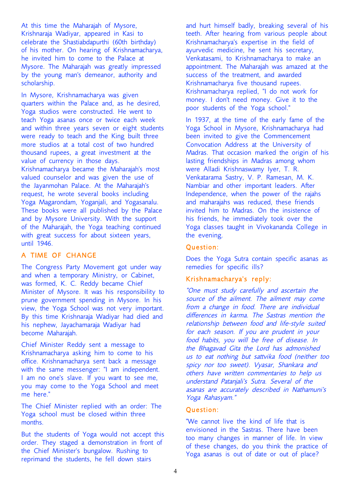At this time the Maharajah of Mysore, Krishnaraja Wadiyar, appeared in Kasi to celebrate the Shastiabdapurthi (60th birthday) of his mother. On hearing of Krishnamacharya, he invited him to come to the Palace at Mysore. The Maharajah was greatly impressed by the young man's demeanor, authority and scholarship.

In Mysore, Krishnamacharya was given quarters within the Palace and, as he desired, Yoga studios were constructed. He went to teach Yoga asanas once or twice each week and within three years seven or eight students were ready to teach and the King built three more studios at a total cost of two hundred thousand rupees, a great investment at the value of currency in those days. Krishnamacharya became the Maharajah's most valued counselor and was given the use of the Jayanmohan Palace. At the Maharajah's request, he wrote several books including Yoga Magarondam, Yoganjali, and Yogasanalu. These books were all published by the Palace and by Mysore University. With the support of the Maharajah, the Yoga teaching continued with great success for about sixteen years, until 1946.

# A
TIME
OF
CHANGE

The Congress Party Movement got under way and when a temporary Ministry, or Cabinet, was formed, K. C. Reddy became Chief Minister of Mysore. It was his responsibility to prune government spending in Mysore. In his view, the Yoga School was not very important. By this time Krishnaraja Wadiyar had died and his nephew, Jayachamaraja Wadiyar had become Maharajah.

Chief Minister Reddy sent a message to Krishnamacharya asking him to come to his office. Krishnamacharya sent back a message with the same messenger: "I am independent. I am no one's slave. If you want to see me, you may come to the Yoga School and meet me here."

The Chief Minister replied with an order: The Yoga school must be closed within three months.

But the students of Yoga would not accept this order. They staged a demonstration in front of the Chief Minister's bungalow. Rushing to reprimand the students, he fell down stairs

and hurt himself badly, breaking several of his teeth. After hearing from various people about Krishnamacharya's expertise in the field of ayurvedic medicine, he sent his secretary, Venkatasami, to Krishnamacharya to make an appointment. The Maharajah was amazed at the success of the treatment, and awarded Krishnamacharya five thousand rupees. Krishnamacharya replied, "I do not work for money. I don't need money. Give it to the poor students of the Yoga school."

In 1937, at the time of the early fame of the Yoga School in Mysore, Krishnamacharya had been invited to give the Commencement Convocation Address at the University of Madras. That occasion marked the origin of his lasting friendships in Madras among whom were Alladi Krishnaswamy Iyer, T. R. Venkatarama Sastry, V. P. Ramesan, M. K. Nambiar and other important leaders. After Independence, when the power of the rajahs and maharajahs was reduced, these friends invited him to Madras. On the insistence of his friends, he immediately took over the Yoga classes taught in Vivokananda College in the evening.

#### Question:

Does the Yoga Sutra contain specific asanas as remedies for specific ills?

# Krishnamacharya's reply:

"One must study carefully and ascertain the source of the ailment. The ailment may come from <sup>a</sup> change in food. There are individual differences in karma. The Sastras mention the relationship between food and life-style suited for each season. If you are prudent in your food habits, you will be free of disease. In the Bhagavad Gita the Lord has admonished us to eat nothing but sattvika food (neither too spicy nor too sweet). Vyasar, Shankara and others have written commentaries to help us understand Patanjali's Sutra. Several of the asanas are accurately described in Nathamuni's Yoga Rahasyam."

#### Question:

"We cannot live the kind of life that is envisioned in the Sastras. There have been too many changes in manner of life. In view of these changes, do you think the practice of Yoga asanas is out of date or out of place?